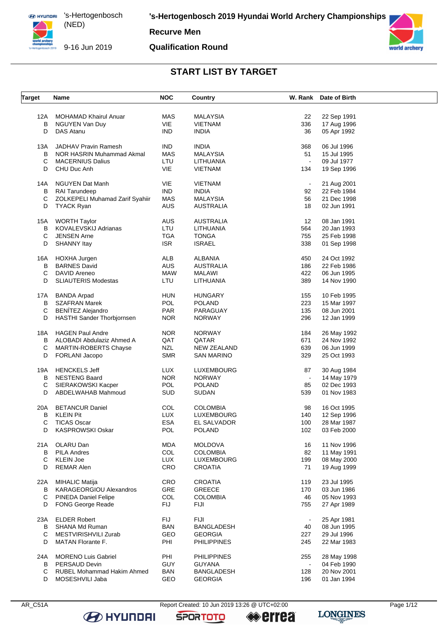

9-16 Jun 2019

#### **Recurve Men**

#### **Qualification Round**



## **START LIST BY TARGET**

| <b>Target</b> | Name                            | <b>NOC</b> | Country            |                | W. Rank Date of Birth |  |
|---------------|---------------------------------|------------|--------------------|----------------|-----------------------|--|
|               |                                 |            |                    |                |                       |  |
| 12A           | <b>MOHAMAD Khairul Anuar</b>    | MAS        | <b>MALAYSIA</b>    | 22             | 22 Sep 1991           |  |
| в             | NGUYEN Van Duy                  | VIE        | VIETNAM            | 336            | 17 Aug 1996           |  |
| D             | DAS Atanu                       | <b>IND</b> | <b>INDIA</b>       | 36             | 05 Apr 1992           |  |
| 13A           | <b>JADHAV Pravin Ramesh</b>     | <b>IND</b> | <b>INDIA</b>       | 368            | 06 Jul 1996           |  |
| B             | NOR HASRIN Muhammad Akmal       | <b>MAS</b> | <b>MALAYSIA</b>    | 51             | 15 Jul 1995           |  |
| С             | <b>MACERNIUS Dalius</b>         | LTU        | LITHUANIA          | $\blacksquare$ | 09 Jul 1977           |  |
| D             | CHU Duc Anh                     | VIE        | VIETNAM            | 134            | 19 Sep 1996           |  |
|               |                                 |            |                    |                |                       |  |
| 14A           | <b>NGUYEN Dat Manh</b>          | <b>VIE</b> | <b>VIETNAM</b>     | $\blacksquare$ | 21 Aug 2001           |  |
| в             | <b>RAI Tarundeep</b>            | <b>IND</b> | <b>INDIA</b>       | 92             | 22 Feb 1984           |  |
| С             | ZOLKEPELI Muhamad Zarif Syahiir | MAS        | <b>MALAYSIA</b>    | 56             | 21 Dec 1998           |  |
| D             | <b>TYACK Ryan</b>               | <b>AUS</b> | <b>AUSTRALIA</b>   | 18             | 02 Jun 1991           |  |
| 15A           | <b>WORTH Taylor</b>             | <b>AUS</b> | <b>AUSTRALIA</b>   | 12             | 08 Jan 1991           |  |
| B             | <b>KOVALEVSKIJ Adrianas</b>     | LTU        | LITHUANIA          | 564            | 20 Jan 1993           |  |
| С             | <b>JENSEN Arne</b>              | <b>TGA</b> | <b>TONGA</b>       | 755            | 25 Feb 1998           |  |
|               |                                 |            |                    |                |                       |  |
| D             | <b>SHANNY Itay</b>              | <b>ISR</b> | <b>ISRAEL</b>      | 338            | 01 Sep 1998           |  |
| 16A           | HOXHA Jurgen                    | ALB        | <b>ALBANIA</b>     | 450            | 24 Oct 1992           |  |
| B             | <b>BARNES David</b>             | <b>AUS</b> | <b>AUSTRALIA</b>   | 186            | 22 Feb 1986           |  |
| C             | DAVID Areneo                    | <b>MAW</b> | <b>MALAWI</b>      | 422            | 06 Jun 1995           |  |
| D             | <b>SLIAUTERIS Modestas</b>      | LTU        | LITHUANIA          | 389            | 14 Nov 1990           |  |
| 17A           | <b>BANDA Arpad</b>              | <b>HUN</b> | <b>HUNGARY</b>     | 155            | 10 Feb 1995           |  |
| B             | <b>SZAFRAN Marek</b>            | POL        | <b>POLAND</b>      | 223            | 15 Mar 1997           |  |
| С             | <b>BENÍTEZ Alejandro</b>        | <b>PAR</b> | PARAGUAY           | 135            | 08 Jun 2001           |  |
| D             |                                 | <b>NOR</b> |                    | 296            |                       |  |
|               | HASTHI Sander Thorbjornsen      |            | <b>NORWAY</b>      |                | 12 Jan 1999           |  |
| 18A           | <b>HAGEN Paul Andre</b>         | <b>NOR</b> | <b>NORWAY</b>      | 184            | 26 May 1992           |  |
| В             | ALOBADI Abdulaziz Ahmed A       | QAT        | QATAR              | 671            | 24 Nov 1992           |  |
| С             | <b>MARTIN-ROBERTS Chayse</b>    | <b>NZL</b> | NEW ZEALAND        | 639            | 06 Jun 1999           |  |
| D             | FORLANI Jacopo                  | <b>SMR</b> | SAN MARINO         | 329            | 25 Oct 1993           |  |
| 19A           | <b>HENCKELS Jeff</b>            | <b>LUX</b> | LUXEMBOURG         | 87             | 30 Aug 1984           |  |
| B             | <b>NESTENG Baard</b>            | <b>NOR</b> | <b>NORWAY</b>      | $\sim$         | 14 May 1979           |  |
| С             | SIERAKOWSKI Kacper              | <b>POL</b> | <b>POLAND</b>      | 85             | 02 Dec 1993           |  |
| D             | ABDELWAHAB Mahmoud              | <b>SUD</b> | <b>SUDAN</b>       | 539            | 01 Nov 1983           |  |
|               |                                 |            |                    |                |                       |  |
| 20A           | <b>BETANCUR Daniel</b>          | COL        | <b>COLOMBIA</b>    | 98             | 16 Oct 1995           |  |
| В             | <b>KLEIN Pit</b>                | <b>LUX</b> | <b>LUXEMBOURG</b>  | 140            | 12 Sep 1996           |  |
| С             | <b>TICAS Oscar</b>              | <b>ESA</b> | EL SALVADOR        | 100            | 28 Mar 1987           |  |
| D             | KASPROWSKI Oskar                | <b>POL</b> | <b>POLAND</b>      | 102            | 03 Feb 2000           |  |
| 21 A          | OLARU Dan                       | <b>MDA</b> | <b>MOLDOVA</b>     | 16             | 11 Nov 1996           |  |
| в             | <b>PILA Andres</b>              | COL        | <b>COLOMBIA</b>    | 82             | 11 May 1991           |  |
| C             | <b>KLEIN Joe</b>                | <b>LUX</b> | LUXEMBOURG         | 199            | 08 May 2000           |  |
| D             | <b>REMAR Alen</b>               | CRO        | CROATIA            | 71             | 19 Aug 1999           |  |
|               |                                 |            |                    |                |                       |  |
| 22A           | <b>MIHALIC Matija</b>           | CRO        | <b>CROATIA</b>     | 119            | 23 Jul 1995           |  |
| в             | KARAGEORGIOU Alexandros         | GRE        | <b>GREECE</b>      | 170            | 03 Jun 1986           |  |
| С             | <b>PINEDA Daniel Felipe</b>     | COL        | <b>COLOMBIA</b>    | 46             | 05 Nov 1993           |  |
| D             | <b>FONG George Reade</b>        | <b>FIJ</b> | <b>FIJI</b>        | 755            | 27 Apr 1989           |  |
| 23A           | <b>ELDER Robert</b>             | <b>FIJ</b> | FIJI               |                | 25 Apr 1981           |  |
| B             | SHANA Md Ruman                  | <b>BAN</b> | BANGLADESH         | 40             | 08 Jun 1995           |  |
| С             | MESTVIRISHVILI Zurab            | GEO        | <b>GEORGIA</b>     | 227            | 29 Jul 1996           |  |
| D             | <b>MATAN Florante F.</b>        | PHI        | <b>PHILIPPINES</b> | 245            | 22 Mar 1983           |  |
|               |                                 |            |                    |                |                       |  |
| 24A           | <b>MORENO Luis Gabriel</b>      | PHI        | <b>PHILIPPINES</b> | 255            | 28 May 1998           |  |
| B             | PERSAUD Devin                   | <b>GUY</b> | <b>GUYANA</b>      | $\blacksquare$ | 04 Feb 1990           |  |
| С             | RUBEL Mohammad Hakim Ahmed      | <b>BAN</b> | <b>BANGLADESH</b>  | 128            | 20 Nov 2001           |  |
| D             | MOSESHVILI Jaba                 | GEO        | <b>GEORGIA</b>     | 196            | 01 Jan 1994           |  |

**B** HYUNDAI

**SPORTOTO** 

**errea**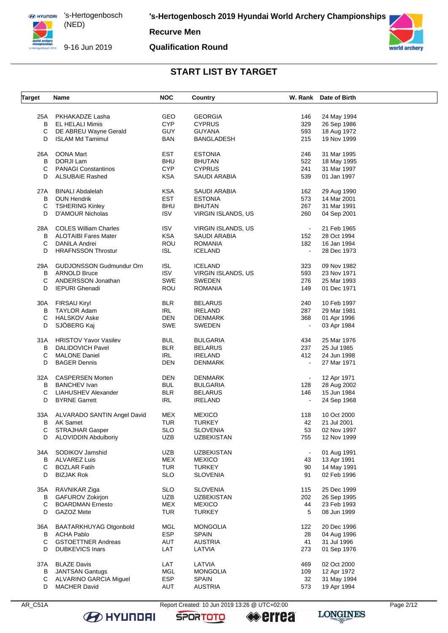**Recurve Men** 

9-16 Jun 2019

#### **Qualification Round**



#### **START LIST BY TARGET**

| <b>Target</b> | Name                            | <b>NOC</b> | Country                   |                | W. Rank Date of Birth |  |
|---------------|---------------------------------|------------|---------------------------|----------------|-----------------------|--|
|               |                                 |            |                           |                |                       |  |
| 25A           | PKHAKADZE Lasha                 | <b>GEO</b> | <b>GEORGIA</b>            | 146            | 24 May 1994           |  |
| в             | <b>EL HELALI Mimis</b>          | <b>CYP</b> | <b>CYPRUS</b>             | 329            | 26 Sep 1986           |  |
| C             | DE ABREU Wayne Gerald           | <b>GUY</b> | <b>GUYANA</b>             | 593            | 18 Aug 1972           |  |
| D             | <b>ISLAM Md Tamimul</b>         | <b>BAN</b> | <b>BANGLADESH</b>         | 215            | 19 Nov 1999           |  |
| 26A           | OONA Mart                       | <b>EST</b> | <b>ESTONIA</b>            | 246            | 31 Mar 1995           |  |
| в             | DORJI Lam                       | <b>BHU</b> | <b>BHUTAN</b>             | 522            | 18 May 1995           |  |
|               | <b>PANAGI Constantinos</b>      |            |                           | 241            |                       |  |
| С             |                                 | <b>CYP</b> | <b>CYPRUS</b>             |                | 31 Mar 1997           |  |
| D             | <b>ALSUBAIE Rashed</b>          | <b>KSA</b> | SAUDI ARABIA              | 539            | 01 Jan 1997           |  |
| 27A           | <b>BINALI Abdalelah</b>         | <b>KSA</b> | SAUDI ARABIA              | 162            | 29 Aug 1990           |  |
| В             | <b>OUN Hendrik</b>              | <b>EST</b> | <b>ESTONIA</b>            | 573            | 14 Mar 2001           |  |
| С             | <b>TSHERING Kinley</b>          | <b>BHU</b> | <b>BHUTAN</b>             | 267            | 31 Mar 1991           |  |
| D             | <b>D'AMOUR Nicholas</b>         | <b>ISV</b> | VIRGIN ISLANDS, US        | 260            | 04 Sep 2001           |  |
| 28A           | <b>COLES William Charles</b>    | <b>ISV</b> | VIRGIN ISLANDS, US        | $\blacksquare$ | 21 Feb 1965           |  |
| В             | <b>ALOTAIBI Fares Mater</b>     | <b>KSA</b> | SAUDI ARABIA              | 152            | 28 Oct 1994           |  |
| C             | DANILA Andrei                   | <b>ROU</b> | <b>ROMANIA</b>            | 182            | 16 Jan 1994           |  |
| D             |                                 |            |                           |                |                       |  |
|               | <b>HRAFNSSON Throstur</b>       | ISL        | <b>ICELAND</b>            |                | 28 Dec 1973           |  |
| 29A           | <b>GUDJONSSON Gudmundur Orn</b> | <b>ISL</b> | <b>ICELAND</b>            | 323            | 09 Nov 1982           |  |
| в             | <b>ARNOLD Bruce</b>             | <b>ISV</b> | <b>VIRGIN ISLANDS, US</b> | 593            | 23 Nov 1971           |  |
| C             | ANDERSSON Jonathan              | SWE        | SWEDEN                    | 276            | 25 Mar 1993           |  |
| D             | <b>IEPURI</b> Ghenadi           | ROU        | <b>ROMANIA</b>            | 149            | 01 Dec 1971           |  |
|               |                                 |            |                           |                |                       |  |
| 30A           | <b>FIRSAU Kiryl</b>             | <b>BLR</b> | <b>BELARUS</b>            | 240            | 10 Feb 1997           |  |
| В             | TAYLOR Adam                     | <b>IRL</b> | <b>IRELAND</b>            | 287            | 29 Mar 1981           |  |
| C             | <b>HALSKOV Aske</b>             | <b>DEN</b> | DENMARK                   | 368            | 01 Apr 1996           |  |
| D             | SJÖBERG Kaj                     | SWE        | <b>SWEDEN</b>             | $\blacksquare$ | 03 Apr 1984           |  |
| 31 A          | <b>HRISTOV Yavor Vasilev</b>    | <b>BUL</b> | <b>BULGARIA</b>           | 434            | 25 Mar 1976           |  |
| В             | <b>DALIDOVICH Pavel</b>         | <b>BLR</b> | <b>BELARUS</b>            | 237            | 25 Jul 1985           |  |
| С             | <b>MALONE Daniel</b>            | <b>IRL</b> | <b>IRELAND</b>            | 412            | 24 Jun 1998           |  |
| D             | <b>BAGER Dennis</b>             | <b>DEN</b> | DENMARK                   |                | 27 Mar 1971           |  |
|               |                                 |            |                           |                |                       |  |
| 32A           | <b>CASPERSEN Morten</b>         | DEN        | <b>DENMARK</b>            | $\blacksquare$ | 12 Apr 1971           |  |
| в             | <b>BANCHEV</b> Ivan             | <b>BUL</b> | <b>BULGARIA</b>           | 128            | 28 Aug 2002           |  |
| C             | LIAHUSHEV Alexander             | <b>BLR</b> | <b>BELARUS</b>            | 146            | 15 Jun 1984           |  |
| D             | <b>BYRNE Garrett</b>            | <b>IRL</b> | <b>IRELAND</b>            | $\blacksquare$ | 24 Sep 1968           |  |
| 33A           | ALVARADO SANTIN Angel David     | MEX        | <b>MEXICO</b>             | 118            | 10 Oct 2000           |  |
| В             | AK Samet                        | TUR        | <b>TURKEY</b>             | 42             | 21 Jul 2001           |  |
| C             | STRAJHAR Gasper                 | <b>SLO</b> | <b>SLOVENIA</b>           | 53             | 02 Nov 1997           |  |
| D             | <b>ALOVIDDIN Abdulboriy</b>     | <b>UZB</b> | <b>UZBEKISTAN</b>         | 755            | 12 Nov 1999           |  |
|               |                                 |            |                           |                |                       |  |
| 34A           | SODIKOV Jamshid                 | <b>UZB</b> | <b>UZBEKISTAN</b>         |                | 01 Aug 1991           |  |
| В             | <b>ALVAREZ Luis</b>             | MEX        | <b>MEXICO</b>             | 43             | 13 Apr 1991           |  |
| C             | <b>BOZLAR Fatih</b>             | <b>TUR</b> | <b>TURKEY</b>             | 90             | 14 May 1991           |  |
| D             | <b>BIZJAK Rok</b>               | <b>SLO</b> | <b>SLOVENIA</b>           | 91             | 02 Feb 1996           |  |
| 35A           | RAVNIKAR Ziga                   | <b>SLO</b> | <b>SLOVENIA</b>           | 115            | 25 Dec 1999           |  |
| В             | <b>GAFUROV Zokirjon</b>         | <b>UZB</b> | <b>UZBEKISTAN</b>         | 202            | 26 Sep 1995           |  |
| C             | <b>BOARDMAN Ernesto</b>         | MEX        | <b>MEXICO</b>             | 44             | 23 Feb 1993           |  |
| D             | GAZOZ Mete                      | <b>TUR</b> | <b>TURKEY</b>             | 5              | 08 Jun 1999           |  |
|               |                                 |            |                           |                |                       |  |
| 36A           | BAATARKHUYAG Otgonbold          | MGL        | <b>MONGOLIA</b>           | 122            | 20 Dec 1996           |  |
| В             | <b>ACHA Pablo</b>               | <b>ESP</b> | <b>SPAIN</b>              | 28             | 04 Aug 1996           |  |
| C             | <b>GSTOETTNER Andreas</b>       | AUT        | <b>AUSTRIA</b>            | 41             | 31 Jul 1996           |  |
| D             | <b>DUBKEVICS Inars</b>          | LAT        | LATVIA                    | 273            | 01 Sep 1976           |  |
| 37A           | <b>BLAZE Davis</b>              | LAT        | LATVIA                    | 469            | 02 Oct 2000           |  |
| В             | <b>JANTSAN Gantugs</b>          | MGL        | <b>MONGOLIA</b>           | 109            | 12 Apr 1972           |  |
| С             | <b>ALVARINO GARCIA Miguel</b>   | ESP        | <b>SPAIN</b>              | 32             | 31 May 1994           |  |
| D             | <b>MACHER David</b>             | AUT        | <b>AUSTRIA</b>            | 573            | 19 Apr 1994           |  |
|               |                                 |            |                           |                |                       |  |

**B** HYUNDAI

**SPORTOTO** 

**errea** 

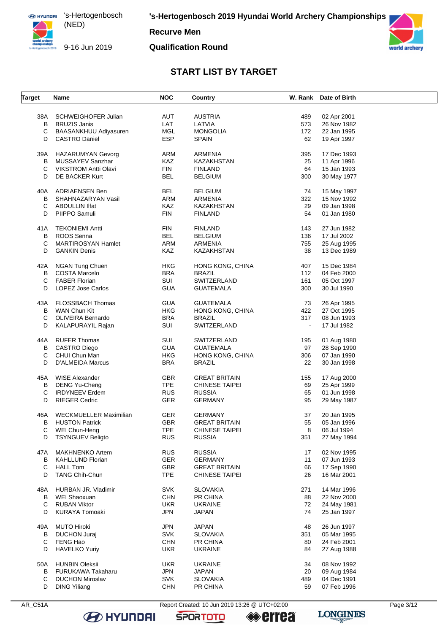

(NED) 

**Recurve Men**

#### **Qualification Round**



## **START LIST BY TARGET**

| <b>Target</b> | Name                                     | <b>NOC</b> | Country               |                | W. Rank Date of Birth |  |
|---------------|------------------------------------------|------------|-----------------------|----------------|-----------------------|--|
| 38A           | SCHWEIGHOFER Julian                      | AUT        | <b>AUSTRIA</b>        | 489            | 02 Apr 2001           |  |
| B             | <b>BRUZIS Janis</b>                      | LAT        | LATVIA                | 573            | 26 Nov 1982           |  |
| С             | BAASANKHUU Adiyasuren                    | MGL        | <b>MONGOLIA</b>       | 172            | 22 Jan 1995           |  |
| D             | <b>CASTRO Daniel</b>                     | <b>ESP</b> | <b>SPAIN</b>          | 62             | 19 Apr 1997           |  |
|               |                                          |            |                       |                |                       |  |
| 39A           | <b>HAZARUMYAN Gevorg</b>                 | ARM        | ARMENIA               | 395            | 17 Dec 1993           |  |
| В             | MUSSAYEV Sanzhar                         | KAZ        | KAZAKHSTAN            | 25             | 11 Apr 1996           |  |
| С             | <b>VIKSTROM Antti Olavi</b>              | <b>FIN</b> | <b>FINLAND</b>        | 64             | 15 Jan 1993           |  |
| D             | DE BACKER Kurt                           | <b>BEL</b> | <b>BELGIUM</b>        | 300            | 30 May 1977           |  |
| 40A           | <b>ADRIAENSEN Ben</b>                    | <b>BEL</b> | <b>BELGIUM</b>        | 74             | 15 May 1997           |  |
| В             | SHAHNAZARYAN Vasil                       | ARM        | <b>ARMENIA</b>        | 322            | 15 Nov 1992           |  |
| С             | ABDULLIN Ilfat                           | <b>KAZ</b> | <b>KAZAKHSTAN</b>     | 29             | 09 Jan 1998           |  |
|               |                                          |            |                       |                |                       |  |
| D             | PIIPPO Samuli                            | <b>FIN</b> | <b>FINLAND</b>        | 54             | 01 Jan 1980           |  |
| 41A           | <b>TEKONIEMI Antti</b>                   | <b>FIN</b> | <b>FINLAND</b>        | 143            | 27 Jun 1982           |  |
| В             | ROOS Senna                               | BEL        | <b>BELGIUM</b>        | 136            | 17 Jul 2002           |  |
| С             | MARTIROSYAN Hamlet                       | ARM        | <b>ARMENIA</b>        | 755            | 25 Aug 1995           |  |
| D             | <b>GANKIN Denis</b>                      | KAZ        | KAZAKHSTAN            | 38             | 13 Dec 1989           |  |
|               |                                          |            |                       |                |                       |  |
| 42A           | <b>NGAN Tung Chuen</b>                   | <b>HKG</b> | HONG KONG, CHINA      | 407            | 15 Dec 1984           |  |
| В             | <b>COSTA Marcelo</b>                     | <b>BRA</b> | <b>BRAZIL</b>         | 112            | 04 Feb 2000           |  |
| С             | <b>FABER Florian</b>                     | SUI        | SWITZERLAND           | 161            | 05 Oct 1997           |  |
| D             | <b>LOPEZ Jose Carlos</b>                 | <b>GUA</b> | <b>GUATEMALA</b>      | 300            | 30 Jul 1990           |  |
| 43A           | <b>FLOSSBACH Thomas</b>                  | <b>GUA</b> | <b>GUATEMALA</b>      | 73             | 26 Apr 1995           |  |
|               |                                          |            |                       |                |                       |  |
| В             | WAN Chun Kit                             | <b>HKG</b> | HONG KONG, CHINA      | 422            | 27 Oct 1995           |  |
| С             | OLIVEIRA Bernardo                        | <b>BRA</b> | <b>BRAZIL</b>         | 317            | 08 Jun 1993           |  |
| D             | KALAPURAYIL Rajan                        | SUI        | SWITZERLAND           | $\blacksquare$ | 17 Jul 1982           |  |
| 44A           | <b>RUFER Thomas</b>                      | SUI        | SWITZERLAND           | 195            | 01 Aug 1980           |  |
| В             | <b>CASTRO Diego</b>                      | <b>GUA</b> | <b>GUATEMALA</b>      | 97             | 28 Sep 1990           |  |
| C             | CHUI Chun Man                            | <b>HKG</b> | HONG KONG, CHINA      | 306            | 07 Jan 1990           |  |
| D             | D'ALMEIDA Marcus                         | <b>BRA</b> | <b>BRAZIL</b>         | 22             | 30 Jan 1998           |  |
|               |                                          |            |                       |                |                       |  |
| 45A           | <b>WISE Alexander</b>                    | GBR        | <b>GREAT BRITAIN</b>  | 155            | 17 Aug 2000           |  |
| В             | DENG Yu-Cheng                            | <b>TPE</b> | <b>CHINESE TAIPEI</b> | 69             | 25 Apr 1999           |  |
| С             | <b>IRDYNEEV</b> Erdem                    | <b>RUS</b> | <b>RUSSIA</b>         | 65             | 01 Jun 1998           |  |
| D             | <b>RIEGER Cedric</b>                     | GER        | <b>GERMANY</b>        | 95             | 29 May 1987           |  |
| 46A           | <b>WECKMUELLER Maximilian</b>            | <b>GER</b> | <b>GERMANY</b>        | 37             | 20 Jan 1995           |  |
| В             | <b>HUSTON Patrick</b>                    | <b>GBR</b> | <b>GREAT BRITAIN</b>  | 55             | 05 Jan 1996           |  |
|               |                                          |            |                       |                |                       |  |
| С<br>D        | WEI Chun-Heng<br><b>TSYNGUEV Beligto</b> | TPE        | <b>CHINESE TAIPEI</b> | 8              | 06 Jul 1994           |  |
|               |                                          | <b>RUS</b> | <b>RUSSIA</b>         | 351            | 27 May 1994           |  |
| 47A           | <b>MAKHNENKO Artem</b>                   | <b>RUS</b> | <b>RUSSIA</b>         | 17             | 02 Nov 1995           |  |
| В             | <b>KAHLLUND Florian</b>                  | <b>GER</b> | <b>GERMANY</b>        | 11             | 07 Jun 1993           |  |
| С             | <b>HALL Tom</b>                          | GBR        | <b>GREAT BRITAIN</b>  | 66             | 17 Sep 1990           |  |
| D             | <b>TANG Chih-Chun</b>                    | <b>TPE</b> | <b>CHINESE TAIPEI</b> | 26             | 16 Mar 2001           |  |
|               |                                          |            |                       |                |                       |  |
| 48A           | HURBAN JR. Vladimir                      | <b>SVK</b> | <b>SLOVAKIA</b>       | 271            | 14 Mar 1996           |  |
| В             | WEI Shaoxuan                             | <b>CHN</b> | PR CHINA              | 88             | 22 Nov 2000           |  |
| С             | <b>RUBAN Viktor</b>                      | UKR.       | <b>UKRAINE</b>        | 72             | 24 May 1981           |  |
| D             | <b>KURAYA Tomoaki</b>                    | JPN        | JAPAN                 | 74             | 25 Jan 1997           |  |
| 49A           | <b>MUTO Hiroki</b>                       | <b>JPN</b> | <b>JAPAN</b>          | 48             | 26 Jun 1997           |  |
| В             | <b>DUCHON Juraj</b>                      | <b>SVK</b> | <b>SLOVAKIA</b>       | 351            | 05 Mar 1995           |  |
|               |                                          |            |                       |                |                       |  |
| С             | FENG Hao                                 | <b>CHN</b> | PR CHINA              | 80             | 24 Feb 2001           |  |
| D             | <b>HAVELKO Yuriy</b>                     | <b>UKR</b> | <b>UKRAINE</b>        | 84             | 27 Aug 1988           |  |
| 50A           | <b>HUNBIN Oleksii</b>                    | UKR.       | <b>UKRAINE</b>        | 34             | 08 Nov 1992           |  |
| В             | <b>FURUKAWA Takaharu</b>                 | <b>JPN</b> | <b>JAPAN</b>          | 20             | 09 Aug 1984           |  |
| С             | <b>DUCHON Miroslav</b>                   | <b>SVK</b> | <b>SLOVAKIA</b>       | 489            | 04 Dec 1991           |  |
| D             | <b>DING Yiliang</b>                      | <b>CHN</b> | PR CHINA              | 59             | 07 Feb 1996           |  |
|               |                                          |            |                       |                |                       |  |

AR\_C51A Report Created: 10 Jun 2019 13:26 @ UTC+02:00 Page 3/12





**errea** 

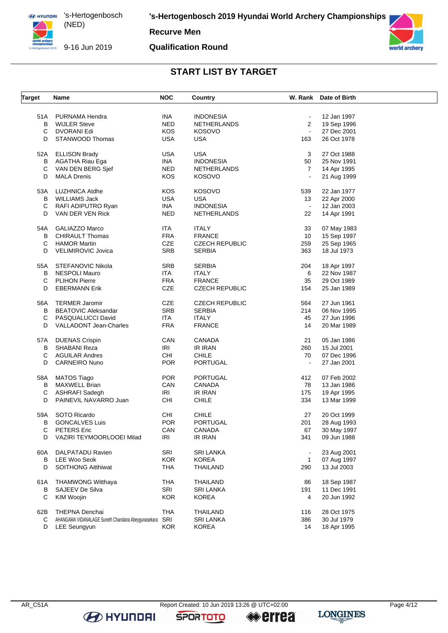

**Recurve Men**

9-16 Jun 2019

# **Qualification Round**





## **START LIST BY TARGET**

| <b>Target</b> | <b>Name</b>                                        | <b>NOC</b> | Country               |                              | W. Rank Date of Birth |  |
|---------------|----------------------------------------------------|------------|-----------------------|------------------------------|-----------------------|--|
|               |                                                    |            |                       |                              |                       |  |
| 51A           | PURNAMA Hendra                                     | INA        | <b>INDONESIA</b>      | $\blacksquare$               | 12 Jan 1997           |  |
| В             | <b>WIJLER Steve</b>                                | <b>NED</b> | <b>NETHERLANDS</b>    | $\overline{2}$               | 19 Sep 1996           |  |
| C             | DVORANI Edi                                        | KOS        | <b>KOSOVO</b>         | $\mathcal{L}_{\mathcal{A}}$  | 27 Dec 2001           |  |
| D             | STANWOOD Thomas                                    | <b>USA</b> | <b>USA</b>            | 163                          | 26 Oct 1978           |  |
|               | 52A ELLISON Brady                                  | <b>USA</b> | <b>USA</b>            | 3                            | 27 Oct 1988           |  |
| В             | AGATHA Riau Ega                                    | INA        | <b>INDONESIA</b>      | 50                           | 25 Nov 1991           |  |
| С             | VAN DEN BERG Sjef                                  | <b>NED</b> | <b>NETHERLANDS</b>    | $\overline{7}$               | 14 Apr 1995           |  |
| D             | <b>MALA Drenis</b>                                 | KOS        | <b>KOSOVO</b>         |                              | 21 Aug 1999           |  |
| 53A           | LUZHNICA Atdhe                                     | KOS        | <b>KOSOVO</b>         | 539                          | 22 Jan 1977           |  |
| В             | <b>WILLIAMS Jack</b>                               | <b>USA</b> | USA                   | 13                           | 22 Apr 2000           |  |
| С             | RAFI ADIPUTRO Ryan                                 | INA        | <b>INDONESIA</b>      | $\sim$                       | 12 Jan 2003           |  |
| D             | VAN DER VEN Rick                                   | <b>NED</b> | NETHERLANDS           | 22                           | 14 Apr 1991           |  |
|               |                                                    |            |                       |                              |                       |  |
| 54A           | <b>GALIAZZO Marco</b>                              | <b>ITA</b> | <b>ITALY</b>          | 33                           | 07 May 1983           |  |
| В             | <b>CHIRAULT Thomas</b>                             | <b>FRA</b> | <b>FRANCE</b>         | 10                           | 15 Sep 1997           |  |
| C             | <b>HAMOR Martin</b>                                | <b>CZE</b> | <b>CZECH REPUBLIC</b> | 259                          | 25 Sep 1965           |  |
| D             | VELIMIROVIC Jovica                                 | SRB        | <b>SERBIA</b>         | 363                          | 18 Jul 1973           |  |
| 55A           | STEFANOVIC Nikola                                  | SRB        | <b>SERBIA</b>         | 204                          | 18 Apr 1997           |  |
| В             | <b>NESPOLI Mauro</b>                               | <b>ITA</b> | <b>ITALY</b>          | 6                            | 22 Nov 1987           |  |
| С             | <b>PLIHON Pierre</b>                               | <b>FRA</b> | <b>FRANCE</b>         | 35                           | 29 Oct 1989           |  |
| D             | <b>EBERMANN Erik</b>                               | CZE        | <b>CZECH REPUBLIC</b> | 154                          | 25 Jan 1989           |  |
| 56A           | <b>TERMER Jaromir</b>                              | CZE        | <b>CZECH REPUBLIC</b> | 564                          | 27 Jun 1961           |  |
| В             | <b>BEATOVIC Aleksandar</b>                         | SRB        | <b>SERBIA</b>         | 214                          | 06 Nov 1995           |  |
| С             | PASQUALUCCI David                                  | <b>ITA</b> | <b>ITALY</b>          | 45                           | 27 Jun 1996           |  |
| D             | <b>VALLADONT Jean-Charles</b>                      | <b>FRA</b> | <b>FRANCE</b>         | 14                           | 20 Mar 1989           |  |
| 57A           | <b>DUENAS Crispin</b>                              | CAN        | CANADA                | 21                           | 05 Jan 1986           |  |
| В             | SHABANI Reza                                       | IRI        | IR IRAN               | 260                          | 15 Jul 2001           |  |
|               |                                                    | CHI        |                       |                              |                       |  |
| С             | <b>AGUILAR Andres</b>                              |            | CHILE                 | 70                           | 07 Dec 1996           |  |
| D             | <b>CARNEIRO Nuno</b>                               | <b>POR</b> | PORTUGAL              | $\blacksquare$               | 27 Jan 2001           |  |
| 58A           | MATOS Tiago                                        | <b>POR</b> | PORTUGAL              | 412                          | 07 Feb 2002           |  |
| В             | <b>MAXWELL Brian</b>                               | CAN        | CANADA                | 78                           | 13 Jan 1986           |  |
| C             | ASHRAFI Sadegh                                     | IRI        | IR IRAN               | 175                          | 19 Apr 1995           |  |
| D             | PAINEVIL NAVARRO Juan                              | CHI        | <b>CHILE</b>          | 334                          | 13 Mar 1999           |  |
| 59A           | SOTO Ricardo                                       | CHI        | <b>CHILE</b>          | 27                           | 20 Oct 1999           |  |
| В             | <b>GONCALVES Luis</b>                              | <b>POR</b> | <b>PORTUGAL</b>       | 201                          | 28 Aug 1993           |  |
| С             | <b>PETERS Eric</b>                                 | CAN        | CANADA                | 67                           | 30 May 1997           |  |
| D             | VAZIRI TEYMOORLOOEI Milad                          | IRI        | IR IRAN               | 341                          | 09 Jun 1988           |  |
|               |                                                    |            |                       |                              |                       |  |
| 60A           | DALPATADU Ravien                                   | <b>SRI</b> | <b>SRI LANKA</b>      | $\qquad \qquad \blacksquare$ | 23 Aug 2001           |  |
| В             | <b>LEE Woo Seok</b>                                | <b>KOR</b> | <b>KOREA</b>          | $\mathbf{1}$                 | 07 Aug 1997           |  |
| D             | <b>SOITHONG Aitthiwat</b>                          | <b>THA</b> | <b>THAILAND</b>       | 290                          | 13 Jul 2003           |  |
| 61A           | <b>THAMWONG Witthaya</b>                           | <b>THA</b> | <b>THAILAND</b>       | 86                           | 18 Sep 1987           |  |
| в             | <b>SAJEEV De Silva</b>                             | SRI        | <b>SRI LANKA</b>      | 191                          | 11 Dec 1991           |  |
| С             | <b>KIM Woojin</b>                                  | <b>KOR</b> | <b>KOREA</b>          | 4                            | 20 Jun 1992           |  |
| 62B           | <b>THEPNA Denchai</b>                              | <b>THA</b> | <b>THAILAND</b>       | 116                          | 28 Oct 1975           |  |
| С             | AHANGAMA VIDANALAGE Suneth Chandana Abeygunasekara | SRI        | <b>SRI LANKA</b>      | 386                          | 30 Jul 1979           |  |
| D             | LEE Seungyun                                       | <b>KOR</b> | <b>KOREA</b>          | 14                           | 18 Apr 1995           |  |
|               |                                                    |            |                       |                              |                       |  |

**B** HYUNDAI

**SPORTOTO** 

**errea**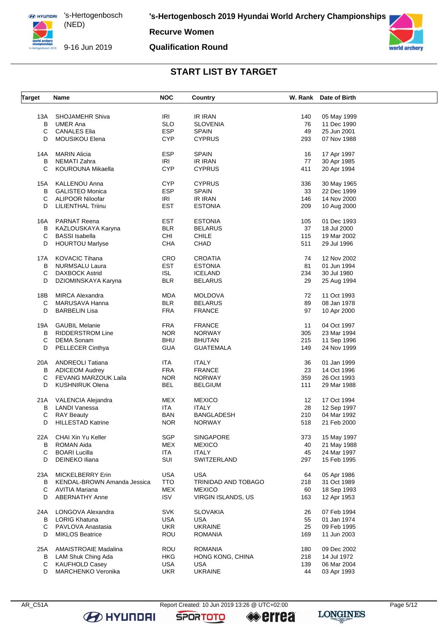**Recurve Women**

#### **Qualification Round**



## **START LIST BY TARGET**

| <b>Target</b> | Name                               | <b>NOC</b> | <b>Country</b>      |     | W. Rank Date of Birth |  |
|---------------|------------------------------------|------------|---------------------|-----|-----------------------|--|
|               |                                    |            |                     |     |                       |  |
| 13A           | <b>SHOJAMEHR Shiva</b>             | IRI        | <b>IR IRAN</b>      | 140 | 05 May 1999           |  |
| B             | <b>UMER Ana</b>                    | <b>SLO</b> | <b>SLOVENIA</b>     | 76  | 11 Dec 1990           |  |
| С             | <b>CANALES Elia</b>                | <b>ESP</b> | <b>SPAIN</b>        | 49  | 25 Jun 2001           |  |
| D             | <b>MOUSIKOU Elena</b>              | <b>CYP</b> | <b>CYPRUS</b>       | 293 | 07 Nov 1988           |  |
| 14A           | <b>MARIN Alicia</b>                | <b>ESP</b> | <b>SPAIN</b>        | 16  | 17 Apr 1997           |  |
| в             | <b>NEMATI Zahra</b>                | IRI        | <b>IR IRAN</b>      | 77  | 30 Apr 1985           |  |
| С             | KOUROUNA Mikaella                  | <b>CYP</b> | <b>CYPRUS</b>       | 411 | 20 Apr 1994           |  |
| 15A           | <b>KALLENOU Anna</b>               | <b>CYP</b> | <b>CYPRUS</b>       | 336 | 30 May 1965           |  |
| В             | <b>GALISTEO Monica</b>             | <b>ESP</b> | <b>SPAIN</b>        | 33  | 22 Dec 1999           |  |
| С             | <b>ALIPOOR Niloofar</b>            | IRI        | IR IRAN             | 146 |                       |  |
| D             | <b>LILIENTHAL Triinu</b>           | <b>EST</b> | <b>ESTONIA</b>      | 209 | 14 Nov 2000           |  |
|               |                                    |            |                     |     | 10 Aug 2000           |  |
| 16A           | PARNAT Reena                       | <b>EST</b> | <b>ESTONIA</b>      | 105 | 01 Dec 1993           |  |
| в             | KAZLOUSKAYA Karyna                 | <b>BLR</b> | <b>BELARUS</b>      | 37  | 18 Jul 2000           |  |
| С             | <b>BASSI</b> Isabella              | CHI        | <b>CHILE</b>        | 115 | 19 Mar 2002           |  |
| D             | <b>HOURTOU Marlyse</b>             | CHA        | CHAD                | 511 | 29 Jul 1996           |  |
| 17A           | <b>KOVACIC Tihana</b>              | CRO        | <b>CROATIA</b>      | 74  | 12 Nov 2002           |  |
| в             | <b>NURMSALU Laura</b>              | <b>EST</b> | <b>ESTONIA</b>      | 81  | 01 Jun 1994           |  |
| С             | <b>DAXBOCK Astrid</b>              | <b>ISL</b> | <b>ICELAND</b>      | 234 | 30 Jul 1980           |  |
| D             | DZIOMINSKAYA Karyna                | <b>BLR</b> | <b>BELARUS</b>      | 29  | 25 Aug 1994           |  |
|               |                                    |            |                     |     |                       |  |
| 18B           | <b>MIRCA Alexandra</b>             | <b>MDA</b> | <b>MOLDOVA</b>      | 72  | 11 Oct 1993           |  |
| C             | MARUSAVA Hanna                     | <b>BLR</b> | <b>BELARUS</b>      | 89  | 08 Jan 1978           |  |
| D             | <b>BARBELIN Lisa</b>               | <b>FRA</b> | <b>FRANCE</b>       | 97  | 10 Apr 2000           |  |
| 19A           | <b>GAUBIL Melanie</b>              | <b>FRA</b> | <b>FRANCE</b>       | 11  | 04 Oct 1997           |  |
| В             | <b>RIDDERSTROM Line</b>            | <b>NOR</b> | <b>NORWAY</b>       | 305 | 23 Mar 1994           |  |
| С             | <b>DEMA Sonam</b>                  | <b>BHU</b> | <b>BHUTAN</b>       | 215 | 11 Sep 1996           |  |
| D             | PELLECER Cinthya                   | <b>GUA</b> | <b>GUATEMALA</b>    | 149 | 24 Nov 1999           |  |
| 20A           | <b>ANDREOLI Tatiana</b>            | <b>ITA</b> | <b>ITALY</b>        | 36  | 01 Jan 1999           |  |
| В             | <b>ADICEOM Audrey</b>              | <b>FRA</b> | <b>FRANCE</b>       | 23  | 14 Oct 1996           |  |
| С             | FEVANG MARZOUK Laila               | <b>NOR</b> | <b>NORWAY</b>       | 359 | 26 Oct 1993           |  |
| D             | <b>KUSHNIRUK Olena</b>             | <b>BEL</b> |                     | 111 |                       |  |
|               |                                    |            | <b>BELGIUM</b>      |     | 29 Mar 1988           |  |
| 21A           | VALENCIA Alejandra                 | MEX        | <b>MEXICO</b>       | 12  | 17 Oct 1994           |  |
| в             | <b>LANDI Vanessa</b>               | <b>ITA</b> | <b>ITALY</b>        | 28  | 12 Sep 1997           |  |
| С             | <b>RAY Beauty</b>                  | <b>BAN</b> | <b>BANGLADESH</b>   | 210 | 04 Mar 1992           |  |
| D             | <b>HILLESTAD Katrine</b>           | <b>NOR</b> | <b>NORWAY</b>       | 518 | 21 Feb 2000           |  |
| 22A           | CHAI Xin Yu Keller                 | SGP        | <b>SINGAPORE</b>    | 373 | 15 May 1997           |  |
| в             | <b>ROMAN Aida</b>                  | <b>MEX</b> | <b>MEXICO</b>       | 40  | 21 May 1988           |  |
| С             | <b>BOARI Lucilla</b>               | <b>ITA</b> | <b>ITALY</b>        | 45  | 24 Mar 1997           |  |
| D             | DEINEKO Iliana                     | SUI        | SWITZERLAND         | 297 | 15 Feb 1995           |  |
|               |                                    |            |                     |     |                       |  |
| 23A           | MICKELBERRY Erin                   | <b>USA</b> | <b>USA</b>          | 64  | 05 Apr 1986           |  |
| В             | <b>KENDAL-BROWN Amanda Jessica</b> | <b>TTO</b> | TRINIDAD AND TOBAGO | 218 | 31 Oct 1989           |  |
| С             | AVITIA Mariana                     | MEX        | <b>MEXICO</b>       | 60  | 18 Sep 1993           |  |
| D             | <b>ABERNATHY Anne</b>              | <b>ISV</b> | VIRGIN ISLANDS, US  | 163 | 12 Apr 1953           |  |
| 24A           | LONGOVA Alexandra                  | SVK        | <b>SLOVAKIA</b>     | 26  | 07 Feb 1994           |  |
| В             | <b>LORIG Khatuna</b>               | <b>USA</b> | <b>USA</b>          | 55  | 01 Jan 1974           |  |
| С             | PAVLOVA Anastasia                  | <b>UKR</b> | <b>UKRAINE</b>      | 25  | 09 Feb 1995           |  |
| D             | <b>MIKLOS Beatrice</b>             | <b>ROU</b> | <b>ROMANIA</b>      | 169 | 11 Jun 2003           |  |
|               |                                    |            |                     |     |                       |  |
| 25A           | <b>AMAISTROAIE Madalina</b>        | <b>ROU</b> | <b>ROMANIA</b>      | 180 | 09 Dec 2002           |  |
| В             | LAM Shuk Ching Ada                 | HKG        | HONG KONG, CHINA    | 218 | 14 Jul 1972           |  |
| С             | <b>KAUFHOLD Casey</b>              | <b>USA</b> | <b>USA</b>          | 139 | 06 Mar 2004           |  |
| D             | MARCHENKO Veronika                 | <b>UKR</b> | <b>UKRAINE</b>      | 44  | 03 Apr 1993           |  |

**B** HYUNDAI

AR\_C51A Report Created: 10 Jun 2019 13:26 @ UTC+02:00 Page 5/12

**SPORTOTO** 

**errea**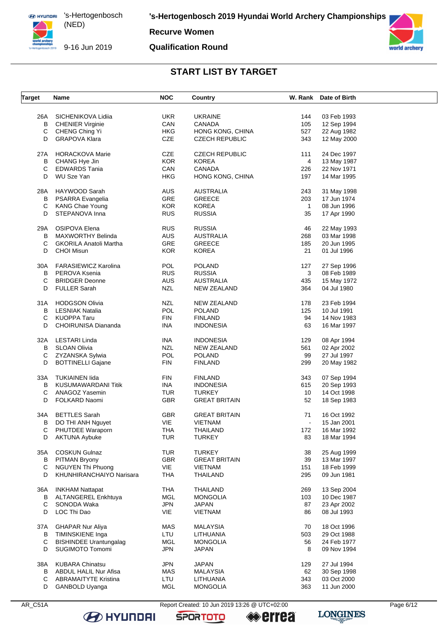**ED HYUNDRI** 's-Hertogenbosch (NED) 9-16 Jun 2019

**Recurve Women** 

#### **Qualification Round**



## **START LIST BY TARGET**

| <b>Target</b> | Name                          | <b>NOC</b> | Country               |                | W. Rank Date of Birth |  |
|---------------|-------------------------------|------------|-----------------------|----------------|-----------------------|--|
|               |                               |            |                       |                |                       |  |
| 26A           | SICHENIKOVA Lidiia            | UKR.       | <b>UKRAINE</b>        | 144            | 03 Feb 1993           |  |
| в             | <b>CHENIER Virginie</b>       | CAN        | <b>CANADA</b>         | 105            | 12 Sep 1994           |  |
| C             | CHENG Ching Yi                | <b>HKG</b> | HONG KONG, CHINA      | 527            | 22 Aug 1982           |  |
| D             | <b>GRAPOVA Klara</b>          | CZE        | <b>CZECH REPUBLIC</b> | 343            | 12 May 2000           |  |
|               |                               |            |                       |                |                       |  |
| 27A           | <b>HORACKOVA Marie</b>        | <b>CZE</b> | <b>CZECH REPUBLIC</b> | 111            | 24 Dec 1997           |  |
| В             | CHANG Hye Jin                 | <b>KOR</b> | <b>KOREA</b>          | 4              | 13 May 1987           |  |
| C             | <b>EDWARDS Tania</b>          | CAN        | <b>CANADA</b>         | 226            | 22 Nov 1971           |  |
| D             | WU Sze Yan                    | <b>HKG</b> | HONG KONG, CHINA      | 197            | 14 Mar 1995           |  |
| 28A           | HAYWOOD Sarah                 | <b>AUS</b> | <b>AUSTRALIA</b>      | 243            | 31 May 1998           |  |
| В             | PSARRA Evangelia              | GRE        | <b>GREECE</b>         | 203            | 17 Jun 1974           |  |
| C             | <b>KANG Chae Young</b>        | <b>KOR</b> | <b>KOREA</b>          | $\mathbf{1}$   | 08 Jun 1996           |  |
| D             |                               |            |                       |                |                       |  |
|               | STEPANOVA Inna                | <b>RUS</b> | <b>RUSSIA</b>         | 35             | 17 Apr 1990           |  |
| 29A           | OSIPOVA Elena                 | <b>RUS</b> | <b>RUSSIA</b>         | 46             | 22 May 1993           |  |
| в             | <b>MAXWORTHY Belinda</b>      | AUS        | <b>AUSTRALIA</b>      | 268            | 03 Mar 1998           |  |
| C             | <b>GKORILA Anatoli Martha</b> | GRE        | <b>GREECE</b>         | 185            | 20 Jun 1995           |  |
| D             | <b>CHOI Misun</b>             | <b>KOR</b> | <b>KOREA</b>          | 21             | 01 Jul 1996           |  |
|               |                               |            |                       |                |                       |  |
| 30A           | <b>FARASIEWICZ Karolina</b>   | <b>POL</b> | <b>POLAND</b>         | 127            | 27 Sep 1996           |  |
| B             | PEROVA Ksenia                 | <b>RUS</b> | <b>RUSSIA</b>         | 3              | 08 Feb 1989           |  |
| C             | <b>BRIDGER Deonne</b>         | AUS        | <b>AUSTRALIA</b>      | 435            | 15 May 1972           |  |
| D             | <b>FULLER Sarah</b>           | <b>NZL</b> | NEW ZEALAND           | 364            | 04 Jul 1980           |  |
| 31 A          | <b>HODGSON Olivia</b>         | NZL        | <b>NEW ZEALAND</b>    | 178            | 23 Feb 1994           |  |
| В             | <b>LESNIAK Natalia</b>        | <b>POL</b> | <b>POLAND</b>         | 125            | 10 Jul 1991           |  |
|               |                               |            |                       | 94             |                       |  |
| С             | <b>KUOPPA Taru</b>            | <b>FIN</b> | <b>FINLAND</b>        |                | 14 Nov 1983           |  |
| D             | <b>CHOIRUNISA Diananda</b>    | INA        | <b>INDONESIA</b>      | 63             | 16 Mar 1997           |  |
| 32A           | LESTARI Linda                 | <b>INA</b> | <b>INDONESIA</b>      | 129            | 08 Apr 1994           |  |
| В             | <b>SLOAN Olivia</b>           | <b>NZL</b> | <b>NEW ZEALAND</b>    | 561            | 02 Apr 2002           |  |
| C             | ZYZANSKA Sylwia               | POL        | <b>POLAND</b>         | 99             | 27 Jul 1997           |  |
| D             | <b>BOTTINELLI Gajane</b>      | FIN        | <b>FINLAND</b>        | 299            | 20 May 1982           |  |
|               |                               |            |                       |                |                       |  |
| 33A           | <b>TUKIAINEN lida</b>         | <b>FIN</b> | <b>FINLAND</b>        | 343            | 07 Sep 1994           |  |
| В             | <b>KUSUMAWARDANI Titik</b>    | INA.       | <b>INDONESIA</b>      | 615            | 20 Sep 1993           |  |
| С             | ANAGOZ Yasemin                | <b>TUR</b> | <b>TURKEY</b>         | 10             | 14 Oct 1998           |  |
| D             | FOLKARD Naomi                 | <b>GBR</b> | <b>GREAT BRITAIN</b>  | 52             | 18 Sep 1983           |  |
| 34A           | <b>BETTLES</b> Sarah          | <b>GBR</b> | <b>GREAT BRITAIN</b>  | 71             | 16 Oct 1992           |  |
| В             | DO THI ANH Nguyet             | VIE        | <b>VIETNAM</b>        | $\blacksquare$ | 15 Jan 2001           |  |
|               |                               |            |                       |                |                       |  |
| C             | PHUTDEE Waraporn              | THA        | THAILAND              | 172            | 16 Mar 1992           |  |
| D             | <b>AKTUNA Aybuke</b>          | <b>TUR</b> | <b>TURKEY</b>         | 83             | 18 Mar 1994           |  |
| 35A           | <b>COSKUN Gulnaz</b>          | <b>TUR</b> | <b>TURKEY</b>         | 38             | 25 Aug 1999           |  |
| В             | PITMAN Bryony                 | <b>GBR</b> | <b>GREAT BRITAIN</b>  | 39             | 13 Mar 1997           |  |
| C             | <b>NGUYEN Thi Phuong</b>      | VIE        | <b>VIETNAM</b>        | 151            | 18 Feb 1999           |  |
| D             | KHUNHIRANCHAIYO Narisara      | <b>THA</b> | <b>THAILAND</b>       | 295            | 09 Jun 1981           |  |
|               |                               |            |                       |                |                       |  |
| 36A           | <b>INKHAM Nattapat</b>        | <b>THA</b> | <b>THAILAND</b>       | 269            | 13 Sep 2004           |  |
| в             | ALTANGEREL Enkhtuya           | <b>MGL</b> | <b>MONGOLIA</b>       | 103            | 10 Dec 1987           |  |
| $\mathsf C$   | SONODA Waka                   | <b>JPN</b> | <b>JAPAN</b>          | 87             | 23 Apr 2002           |  |
| D             | LOC Thi Dao                   | VIE        | VIETNAM               | 86             | 08 Jul 1993           |  |
|               |                               |            |                       |                |                       |  |
| 37A           | <b>GHAPAR Nur Aliya</b>       | MAS        | <b>MALAYSIA</b>       | 70             | 18 Oct 1996           |  |
| в             | <b>TIMINSKIENE Inga</b>       | LTU        | LITHUANIA             | 503            | 29 Oct 1988           |  |
| C             | <b>BISHINDEE Urantungalag</b> | MGL        | <b>MONGOLIA</b>       | 56             | 24 Feb 1977           |  |
| D             | SUGIMOTO Tomomi               | <b>JPN</b> | <b>JAPAN</b>          | 8              | 09 Nov 1994           |  |
| 38A           | <b>KUBARA Chinatsu</b>        | <b>JPN</b> | <b>JAPAN</b>          | 129            | 27 Jul 1994           |  |
| В             | ABDUL HALIL Nur Afisa         | MAS        | <b>MALAYSIA</b>       | 62             | 30 Sep 1998           |  |
| С             | <b>ABRAMAITYTE Kristina</b>   | LTU        | LITHUANIA             | 343            | 03 Oct 2000           |  |
|               |                               |            |                       |                |                       |  |
| D             | GANBOLD Uyanga                | <b>MGL</b> | <b>MONGOLIA</b>       | 363            | 11 Jun 2000           |  |

**B** HYUNDAI

Report Created: 10 Jun 2019 13:26 @ UTC+02:00

**SPORTOTO** 

**errea** 

Page 6/12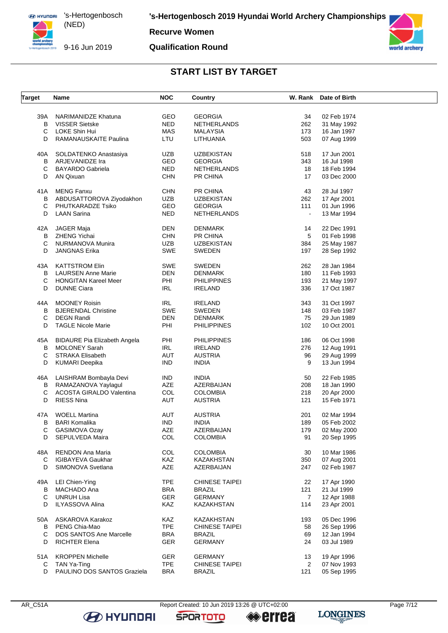

9-16 Jun 2019

**'s-Hertogenbosch 2019 Hyundai World Archery Championships**

**Recurve Women**

#### **Qualification Round**



## **START LIST BY TARGET**

| <b>Target</b> | Name                                | <b>NOC</b> | Country               |                | W. Rank Date of Birth |  |
|---------------|-------------------------------------|------------|-----------------------|----------------|-----------------------|--|
|               |                                     |            |                       |                |                       |  |
| 39A           | NARIMANIDZE Khatuna                 | <b>GEO</b> | <b>GEORGIA</b>        | 34             | 02 Feb 1974           |  |
| B             | <b>VISSER Sietske</b>               | <b>NED</b> | NETHERLANDS           | 262            | 31 May 1992           |  |
| С             | <b>LOKE Shin Hui</b>                | <b>MAS</b> | <b>MALAYSIA</b>       | 173            | 16 Jan 1997           |  |
| D             | RAMANAUSKAITE Paulina               | LTU        | LITHUANIA             | 503            | 07 Aug 1999           |  |
| 40A           | SOLDATENKO Anastasiya               | <b>UZB</b> | <b>UZBEKISTAN</b>     | 518            | 17 Jun 2001           |  |
| B             | ARJEVANIDZE Ira                     | GEO        | <b>GEORGIA</b>        | 343            | 16 Jul 1998           |  |
| С             | <b>BAYARDO Gabriela</b>             | <b>NED</b> | NETHERLANDS           | 18             | 18 Feb 1994           |  |
| D             |                                     |            |                       |                |                       |  |
|               | AN Qixuan                           | <b>CHN</b> | PR CHINA              | 17             | 03 Dec 2000           |  |
| 41 A          | <b>MENG Fanxu</b>                   | <b>CHN</b> | PR CHINA              | 43             | 28 Jul 1997           |  |
| В             | ABDUSATTOROVA Ziyodakhon            | <b>UZB</b> | <b>UZBEKISTAN</b>     | 262            | 17 Apr 2001           |  |
| С             | PHUTKARADZE Tsiko                   | GEO        | <b>GEORGIA</b>        | 111            | 01 Jun 1996           |  |
| D             | <b>LAAN Sarina</b>                  | <b>NED</b> | NETHERLANDS           | $\blacksquare$ | 13 Mar 1994           |  |
| 42A           | JAGER Maja                          | <b>DEN</b> | DENMARK               | 14             | 22 Dec 1991           |  |
| В             | ZHENG Yichai                        | <b>CHN</b> | PR CHINA              | 5              | 01 Feb 1998           |  |
| C             | NURMANOVA Munira                    | <b>UZB</b> | <b>UZBEKISTAN</b>     | 384            | 25 May 1987           |  |
|               |                                     |            |                       |                |                       |  |
| D             | <b>JANGNAS Erika</b>                | SWE        | SWEDEN                | 197            | 28 Sep 1992           |  |
| 43A           | <b>KATTSTROM Elin</b>               | SWE        | <b>SWEDEN</b>         | 262            | 28 Jan 1984           |  |
| В             | <b>LAURSEN Anne Marie</b>           | DEN        | DENMARK               | 180            | 11 Feb 1993           |  |
| С             | <b>HONGITAN Kareel Meer</b>         | PHI        | PHILIPPINES           | 193            | 21 May 1997           |  |
| D             | <b>DUNNE Ciara</b>                  | IRL        | <b>IRELAND</b>        | 336            | 17 Oct 1987           |  |
|               |                                     |            |                       |                |                       |  |
| 44A           | <b>MOONEY Roisin</b>                | <b>IRL</b> | <b>IRELAND</b>        | 343            | 31 Oct 1997           |  |
| B             | <b>BJERENDAL Christine</b>          | SWE        | SWEDEN                | 148            | 03 Feb 1987           |  |
| С             | <b>DEGN Randi</b>                   | <b>DEN</b> | DENMARK               | 75             | 29 Jun 1989           |  |
| D             | <b>TAGLE Nicole Marie</b>           | PHI        | PHILIPPINES           | 102            | 10 Oct 2001           |  |
| 45A           | <b>BIDAURE Pia Elizabeth Angela</b> | PHI        | PHILIPPINES           | 186            | 06 Oct 1998           |  |
| В             | <b>MOLONEY Sarah</b>                | IRL        | <b>IRELAND</b>        | 276            | 12 Aug 1991           |  |
| С             | <b>STRAKA Elisabeth</b>             | <b>AUT</b> | <b>AUSTRIA</b>        | 96             | 29 Aug 1999           |  |
| D             | <b>KUMARI Deepika</b>               | <b>IND</b> | <b>INDIA</b>          | 9              | 13 Jun 1994           |  |
|               |                                     |            |                       |                |                       |  |
| 46A           | LAISHRAM Bombayla Devi              | <b>IND</b> | INDIA                 | 50             | 22 Feb 1985           |  |
| В             | RAMAZANOVA Yaylagul                 | AZE        | AZERBAIJAN            | 208            | 18 Jan 1990           |  |
| C             | <b>ACOSTA GIRALDO Valentina</b>     | COL        | <b>COLOMBIA</b>       | 218            | 20 Apr 2000           |  |
| D             | <b>RIESS Nina</b>                   | AUT        | <b>AUSTRIA</b>        | 121            | 15 Feb 1971           |  |
| 47A           | <b>WOELL Martina</b>                | AUT        | <b>AUSTRIA</b>        | 201            | 02 Mar 1994           |  |
|               |                                     |            |                       |                |                       |  |
| В             | <b>BARI Komalika</b>                | <b>IND</b> | INDIA                 | 189            | 05 Feb 2002           |  |
| С             | <b>GASIMOVA Ozay</b>                | AZE        | AZERBAIJAN            | 179            | 02 May 2000           |  |
| D             | SEPULVEDA Maira                     | COL        | <b>COLOMBIA</b>       | 91             | 20 Sep 1995           |  |
| 48A           | RENDON Ana Maria                    | <b>COL</b> | <b>COLOMBIA</b>       | 30             | 10 Mar 1986           |  |
| C             | <b>IGIBAYEVA Gaukhar</b>            | KAZ        | KAZAKHSTAN            | 350            | 07 Aug 2001           |  |
| D             | SIMONOVA Svetlana                   | AZE        | AZERBAIJAN            | 247            | 02 Feb 1987           |  |
| 49A           |                                     | <b>TPE</b> | <b>CHINESE TAIPEI</b> | 22             | 17 Apr 1990           |  |
|               | LEI Chien-Ying                      |            |                       |                |                       |  |
| B             | MACHADO Ana                         | <b>BRA</b> | BRAZIL                | 121            | 21 Jul 1999           |  |
| С             | <b>UNRUH Lisa</b>                   | GER        | <b>GERMANY</b>        | $\overline{7}$ | 12 Apr 1988           |  |
| D             | <b>ILYASSOVA Alina</b>              | KAZ        | KAZAKHSTAN            | 114            | 23 Apr 2001           |  |
| 50A           | ASKAROVA Karakoz                    | KAZ        | KAZAKHSTAN            | 193            | 05 Dec 1996           |  |
| В             | PENG Chia-Mao                       | <b>TPE</b> | CHINESE TAIPEI        | 58             | 26 Sep 1996           |  |
| С             | DOS SANTOS Ane Marcelle             | <b>BRA</b> | BRAZIL                | 69             | 12 Jan 1994           |  |
| D             | <b>RICHTER Elena</b>                | <b>GER</b> | <b>GERMANY</b>        | 24             | 03 Jul 1989           |  |
|               |                                     |            |                       |                |                       |  |
| 51A           | <b>KROPPEN Michelle</b>             | <b>GER</b> | <b>GERMANY</b>        | 13             | 19 Apr 1996           |  |
| C             | TAN Ya-Ting                         | <b>TPE</b> | <b>CHINESE TAIPEI</b> | $\overline{2}$ | 07 Nov 1993           |  |
| D             | PAULINO DOS SANTOS Graziela         | <b>BRA</b> | BRAZIL                | 121            | 05 Sep 1995           |  |

**B** HYUNDAI

**SPORTOTO** 

**errea** 

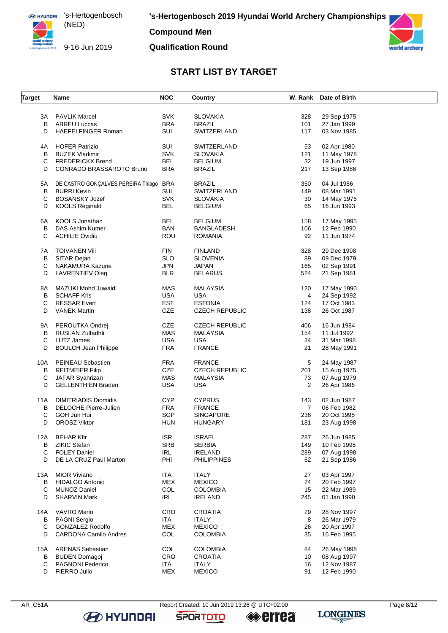

#### **Compound Men**

#### **Qualification Round**



## **START LIST BY TARGET**

| <b>Target</b> | Name                                   | <b>NOC</b> | Country               |     | W. Rank Date of Birth |
|---------------|----------------------------------------|------------|-----------------------|-----|-----------------------|
|               |                                        |            |                       |     |                       |
| ЗA            | <b>PAVLIK Marcel</b>                   | <b>SVK</b> | <b>SLOVAKIA</b>       | 328 | 29 Sep 1975           |
| В             | <b>ABREU Luccas</b>                    | <b>BRA</b> | <b>BRAZIL</b>         | 101 | 27 Jan 1999           |
| D             | <b>HAEFELFINGER Roman</b>              | SUI        | SWITZERLAND           | 117 | 03 Nov 1985           |
| 4A            | <b>HOFER Patrizio</b>                  | SUI        | SWITZERLAND           | 53  | 02 Apr 1980           |
| В             | <b>BUZEK Vladimir</b>                  | <b>SVK</b> | <b>SLOVAKIA</b>       | 121 | 11 May 1978           |
| С             | <b>FREDERICKX Brend</b>                | BEL        | <b>BELGIUM</b>        | 32  | 19 Jun 1997           |
| D             | CONRADO BRASSAROTO Bruno               | <b>BRA</b> | <b>BRAZIL</b>         | 217 | 13 Sep 1986           |
| 5A            | DE CASTRO GONÇALVES PEREIRA Thiago BRA |            | <b>BRAZIL</b>         | 350 | 04 Jul 1986           |
| В             | <b>BURRI Kevin</b>                     | SUI        | SWITZERLAND           | 149 | 08 Mar 1991           |
| C             | <b>BOSANSKY Jozef</b>                  | <b>SVK</b> | <b>SLOVAKIA</b>       | 30  | 14 May 1976           |
| D             | <b>KOOLS Reginald</b>                  | <b>BEL</b> | <b>BELGIUM</b>        | 65  | 16 Jun 1993           |
|               |                                        |            |                       |     |                       |
| 6A            | KOOLS Jonathan                         | <b>BEL</b> | <b>BELGIUM</b>        | 158 | 17 May 1995           |
| В             | DAS Ashim Kumer                        | <b>BAN</b> | <b>BANGLADESH</b>     | 106 | 12 Feb 1990           |
| С             | <b>ACHILIE Ovidiu</b>                  | ROU        | <b>ROMANIA</b>        | 92  | 11 Jun 1974           |
| 7A            | <b>TOIVANEN Vili</b>                   | <b>FIN</b> | <b>FINLAND</b>        | 328 | 29 Dec 1998           |
| в             | SITAR Dejan                            | <b>SLO</b> | <b>SLOVENIA</b>       | 89  | 09 Dec 1979           |
| С             | <b>NAKAMURA Kazune</b>                 | <b>JPN</b> | <b>JAPAN</b>          | 165 | 02 Sep 1991           |
| D             | LAVRENTIEV Oleg                        | <b>BLR</b> | <b>BELARUS</b>        | 524 | 21 Sep 1981           |
| 8A            | MAZUKI Mohd Juwaidi                    | MAS        | <b>MALAYSIA</b>       | 120 | 17 May 1990           |
| В             | <b>SCHAFF Kris</b>                     | <b>USA</b> | <b>USA</b>            | 4   | 24 Sep 1992           |
| С             | <b>RESSAR Evert</b>                    | <b>EST</b> | <b>ESTONIA</b>        | 124 | 17 Oct 1983           |
| D             | <b>VANEK Martin</b>                    | CZE        | <b>CZECH REPUBLIC</b> | 138 | 26 Oct 1987           |
|               |                                        |            |                       |     |                       |
| 9A            | PEROUTKA Ondrej                        | CZE        | <b>CZECH REPUBLIC</b> | 406 | 16 Jun 1984           |
| В             | RUSLAN Zulfadhli                       | MAS        | <b>MALAYSIA</b>       | 154 | 11 Jul 1992           |
| С             | <b>LUTZ James</b>                      | <b>USA</b> | <b>USA</b>            | 34  | 31 Mar 1998           |
| D             | <b>BOULCH Jean Philippe</b>            | <b>FRA</b> | <b>FRANCE</b>         | 21  | 28 May 1991           |
| 10A           | PEINEAU Sebastien                      | <b>FRA</b> | <b>FRANCE</b>         | 5   | 24 May 1987           |
| В             | <b>REITMEIER Filip</b>                 | CZE        | <b>CZECH REPUBLIC</b> | 201 | 15 Aug 1975           |
| С             | JAFAR Syahrizan                        | MAS        | <b>MALAYSIA</b>       | 73  | 07 Aug 1979           |
| D             | <b>GELLENTHIEN Braden</b>              | <b>USA</b> | <b>USA</b>            | 2   | 26 Apr 1986           |
| 11A           | <b>DIMITRIADIS Diomidis</b>            | <b>CYP</b> | <b>CYPRUS</b>         | 143 | 02 Jun 1987           |
| В             | <b>DELOCHE Pierre-Julien</b>           | <b>FRA</b> | <b>FRANCE</b>         | 7   | 06 Feb 1982           |
| С             | GOH Jun Hui                            | SGP        | SINGAPORE             | 236 | 20 Oct 1995           |
|               | <b>OROSZ Viktor</b>                    | <b>HUN</b> |                       | 181 |                       |
| D             |                                        |            | <b>HUNGARY</b>        |     | 23 Aug 1998           |
| 12A           | <b>BEHAR Kfir</b>                      | <b>ISR</b> | <b>ISRAEL</b>         | 287 | 26 Jun 1985           |
| В             | ZIKIC Stefan                           | <b>SRB</b> | <b>SERBIA</b>         | 149 | 10 Feb 1995           |
| C             | <b>FOLEY Daniel</b>                    | <b>IRL</b> | <b>IRELAND</b>        | 289 | 07 Aug 1998           |
| D             | DE LA CRUZ Paul Marton                 | PHI        | <b>PHILIPPINES</b>    | 62  | 21 Sep 1986           |
| 13A           | <b>MIOR Viviano</b>                    | <b>ITA</b> | <b>ITALY</b>          | 27  | 03 Apr 1997           |
| В             | <b>HIDALGO Antonio</b>                 | MEX        | <b>MEXICO</b>         | 24  | 20 Feb 1997           |
| С             | <b>MUNOZ Daniel</b>                    | COL        | <b>COLOMBIA</b>       | 15  | 22 Mar 1989           |
| D             | <b>SHARVIN Mark</b>                    | IRL        | <b>IRELAND</b>        | 245 | 01 Jan 1990           |
| 14A           | VAVRO Mario                            | CRO        | <b>CROATIA</b>        | 29  | 28 Nov 1997           |
| В             | <b>PAGNI Sergio</b>                    | ITA        | <b>ITALY</b>          | 8   | 26 Mar 1979           |
| C             | <b>GONZALEZ Rodolfo</b>                | <b>MEX</b> | <b>MEXICO</b>         | 26  |                       |
| D             |                                        |            |                       |     | 20 Apr 1997           |
|               | <b>CARDONA Camilo Andres</b>           | COL        | <b>COLOMBIA</b>       | 35  | 16 Feb 1995           |
| 15A           | <b>ARENAS Sebastian</b>                | COL        | <b>COLOMBIA</b>       | 84  | 26 May 1998           |
| в             | <b>BUDEN Domagoj</b>                   | CRO        | CROATIA               | 10  | 08 Aug 1997           |
| С             | <b>PAGNONI Federico</b>                | ITA        | <b>ITALY</b>          | 16  | 12 Nov 1987           |
| D             | FIERRO Julio                           | MEX        | <b>MEXICO</b>         | 91  | 12 Feb 1990           |
|               |                                        |            |                       |     |                       |

**B** HYUNDAI

**SPORTOTO** 

**errea**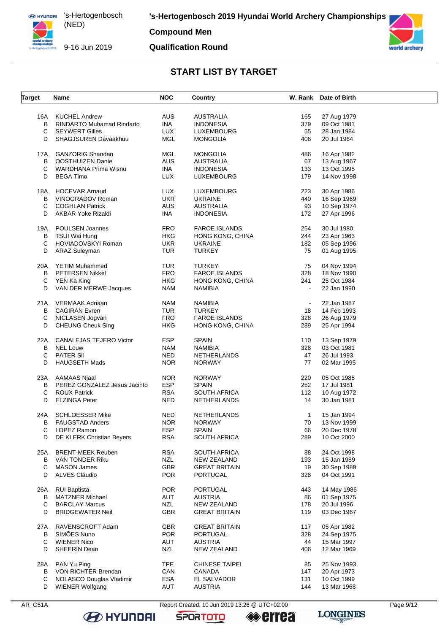9-16 Jun 2019

#### **Compound Men**

#### **Qualification Round**



#### **START LIST BY TARGET**

| <b>Target</b> | Name                             | <b>NOC</b> | Country              |                | W. Rank Date of Birth |  |
|---------------|----------------------------------|------------|----------------------|----------------|-----------------------|--|
|               |                                  |            |                      |                |                       |  |
| 16A           | <b>KUCHEL Andrew</b>             | AUS        | AUSTRALIA            | 165            | 27 Aug 1979           |  |
| В             | <b>RINDARTO Muhamad Rindarto</b> | INA        | <b>INDONESIA</b>     | 379            | 09 Oct 1981           |  |
| С             | <b>SEYWERT Gilles</b>            | <b>LUX</b> | LUXEMBOURG           | 55             | 28 Jan 1984           |  |
| D             | SHAGJSUREN Davaakhuu             | MGL        | <b>MONGOLIA</b>      | 406            | 20 Jul 1964           |  |
| 17A           | <b>GANZORIG Shandan</b>          | <b>MGL</b> | <b>MONGOLIA</b>      | 486            | 16 Apr 1982           |  |
| В             | <b>OOSTHUIZEN Danie</b>          | AUS        | <b>AUSTRALIA</b>     | 67             | 13 Aug 1967           |  |
| C             | <b>WARDHANA Prima Wisnu</b>      | <b>INA</b> | <b>INDONESIA</b>     | 133            | 13 Oct 1995           |  |
| D             |                                  |            |                      |                | 14 Nov 1998           |  |
|               | <b>BEGA Timo</b>                 | <b>LUX</b> | LUXEMBOURG           | 179            |                       |  |
| 18A           | <b>HOCEVAR Arnaud</b>            | LUX        | LUXEMBOURG           | 223            | 30 Apr 1986           |  |
| В             | VINOGRADOV Roman                 | <b>UKR</b> | <b>UKRAINE</b>       | 440            | 16 Sep 1969           |  |
| С             | <b>COGHLAN Patrick</b>           | <b>AUS</b> | <b>AUSTRALIA</b>     | 93             | 10 Sep 1974           |  |
| D             | <b>AKBAR Yoke Rizaldi</b>        | INA        | INDONESIA            | 172            | 27 Apr 1996           |  |
| 19A           | POULSEN Joannes                  | <b>FRO</b> | <b>FAROE ISLANDS</b> | 254            | 30 Jul 1980           |  |
| В             | TSUI Wai Hung                    | <b>HKG</b> | HONG KONG, CHINA     | 244            | 23 Apr 1963           |  |
|               |                                  |            |                      |                |                       |  |
| С             | HOVIADOVSKYI Roman               | <b>UKR</b> | <b>UKRAINE</b>       | 182            | 05 Sep 1996           |  |
| D             | <b>ARAZ Suleyman</b>             | TUR        | <b>TURKEY</b>        | 75             | 01 Aug 1995           |  |
| 20A           | <b>YETIM Muhammed</b>            | TUR        | <b>TURKEY</b>        | 75             | 04 Nov 1994           |  |
| В             | <b>PETERSEN Nikkel</b>           | <b>FRO</b> | <b>FAROE ISLANDS</b> | 328            | 18 Nov 1990           |  |
| С             | YEN Ka King                      | <b>HKG</b> | HONG KONG, CHINA     | 241            | 25 Oct 1984           |  |
| D             | VAN DER MERWE Jacques            | <b>NAM</b> | NAMIBIA              | $\blacksquare$ | 22 Jan 1990           |  |
|               |                                  |            |                      |                |                       |  |
| 21 A          | VERMAAK Adriaan                  | <b>NAM</b> | <b>NAMIBIA</b>       | $\blacksquare$ | 22 Jan 1987           |  |
| В             | <b>CAGIRAN</b> Evren             | <b>TUR</b> | <b>TURKEY</b>        | 18             | 14 Feb 1993           |  |
| С             | NICLASEN Jogvan                  | <b>FRO</b> | <b>FAROE ISLANDS</b> | 328            | 26 Aug 1979           |  |
| D             | <b>CHEUNG Cheuk Sing</b>         | <b>HKG</b> | HONG KONG, CHINA     | 289            | 25 Apr 1994           |  |
| 22A           | <b>CANALEJAS TEJERO Victor</b>   | <b>ESP</b> | <b>SPAIN</b>         | 110            | 13 Sep 1979           |  |
|               | <b>NEL Louw</b>                  |            |                      |                |                       |  |
| В             |                                  | <b>NAM</b> | <b>NAMIBIA</b>       | 328            | 03 Oct 1981           |  |
| С             | <b>PATER Sil</b>                 | <b>NED</b> | NETHERLANDS          | 47             | 26 Jul 1993           |  |
| D             | <b>HAUGSETH Mads</b>             | <b>NOR</b> | <b>NORWAY</b>        | 77             | 02 Mar 1995           |  |
| 23A           | AAMAAS Njaal                     | <b>NOR</b> | <b>NORWAY</b>        | 220            | 05 Oct 1988           |  |
| B             | PEREZ GONZALEZ Jesus Jacinto     | <b>ESP</b> | <b>SPAIN</b>         | 252            | 17 Jul 1981           |  |
| С             | <b>ROUX Patrick</b>              | <b>RSA</b> | <b>SOUTH AFRICA</b>  | 112            | 10 Aug 1972           |  |
| D             | <b>ELZINGA Peter</b>             | <b>NED</b> | NETHERLANDS          | 14             | 30 Jan 1981           |  |
|               |                                  |            |                      |                |                       |  |
| 24A           | <b>SCHLOESSER Mike</b>           | <b>NED</b> | NETHERLANDS          | $\mathbf{1}$   | 15 Jan 1994           |  |
| В             | <b>FAUGSTAD Anders</b>           | <b>NOR</b> | <b>NORWAY</b>        | 70             | 13 Nov 1999           |  |
| С             | LOPEZ Ramon                      | ESP        | SPAIN                | 66             | 20 Dec 1978           |  |
| D             | DE KLERK Christian Beyers        | <b>RSA</b> | <b>SOUTH AFRICA</b>  | 289            | 10 Oct 2000           |  |
|               |                                  |            |                      |                |                       |  |
| 25A           | <b>BRENT-MEEK Reuben</b>         | <b>RSA</b> | SOUTH AFRICA         | 88             | 24 Oct 1998           |  |
| В             | VAN TONDER Riku                  | <b>NZL</b> | <b>NEW ZEALAND</b>   | 193            | 15 Jan 1989           |  |
| С             | <b>MASON James</b>               | GBR        | <b>GREAT BRITAIN</b> | 19             | 30 Sep 1989           |  |
| D             | ALVES Cláudio                    | <b>POR</b> | <b>PORTUGAL</b>      | 328            | 04 Oct 1991           |  |
| 26A           | <b>RUI Baptista</b>              | <b>POR</b> | <b>PORTUGAL</b>      | 443            | 14 May 1986           |  |
| В             | <b>MATZNER Michael</b>           | AUT        | <b>AUSTRIA</b>       | 86             | 01 Sep 1975           |  |
| C             | <b>BARCLAY Marcus</b>            | <b>NZL</b> | <b>NEW ZEALAND</b>   | 178            | 20 Jul 1996           |  |
| D             | <b>BRIDGEWATER Neil</b>          | <b>GBR</b> | <b>GREAT BRITAIN</b> | 119            | 03 Dec 1967           |  |
|               |                                  |            |                      |                |                       |  |
| 27A           | RAVENSCROFT Adam                 | <b>GBR</b> | <b>GREAT BRITAIN</b> | 117            | 05 Apr 1982           |  |
| В             | SIMÕES Nuno                      | <b>POR</b> | <b>PORTUGAL</b>      | 328            | 24 Sep 1975           |  |
| С             | <b>WIENER Nico</b>               | AUT        | <b>AUSTRIA</b>       | 44             | 15 Mar 1997           |  |
| D             | SHEERIN Dean                     | <b>NZL</b> | <b>NEW ZEALAND</b>   | 406            | 12 Mar 1969           |  |
|               |                                  |            |                      |                |                       |  |
| 28A           | PAN Yu Ping                      | <b>TPE</b> | CHINESE TAIPEI       | 85             | 25 Nov 1993           |  |
| В             | VON RICHTER Brendan              | CAN        | <b>CANADA</b>        | 147            | 20 Apr 1973           |  |
| C             | <b>NOLASCO Douglas Vladimir</b>  | <b>ESA</b> | EL SALVADOR          | 131            | 10 Oct 1999           |  |
| D             | <b>WIENER Wolfgang</b>           | AUT        | <b>AUSTRIA</b>       | 144            | 13 Mar 1968           |  |
|               |                                  |            |                      |                |                       |  |

**B** HYUNDAI

AR\_C51A Report Created: 10 Jun 2019 13:26 @ UTC+02:00 Page 9/12

**SPORTOTO** 

**errea**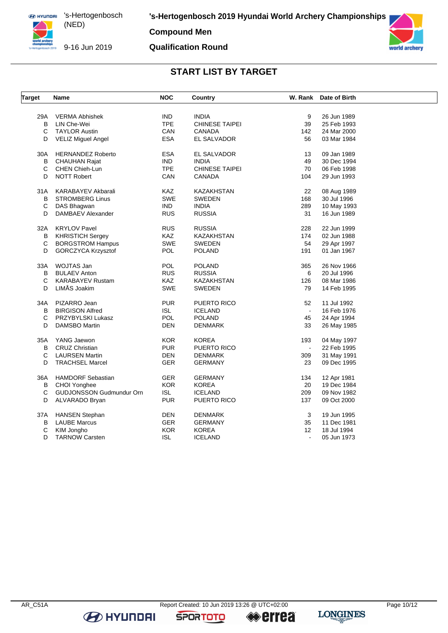9-16 Jun 2019

**Compound Men**

## **Qualification Round**



## **START LIST BY TARGET**

| <b>Target</b> | Name                      | <b>NOC</b> | <b>Country</b>        |                          | W. Rank Date of Birth |  |
|---------------|---------------------------|------------|-----------------------|--------------------------|-----------------------|--|
|               |                           |            |                       |                          |                       |  |
| 29A           | <b>VERMA Abhishek</b>     | IND.       | <b>INDIA</b>          | 9                        | 26 Jun 1989           |  |
| B             | LIN Che-Wei               | <b>TPE</b> | <b>CHINESE TAIPEI</b> | 39                       | 25 Feb 1993           |  |
| C             | <b>TAYLOR Austin</b>      | CAN        | <b>CANADA</b>         | 142                      | 24 Mar 2000           |  |
| D             | <b>VELIZ Miguel Angel</b> | <b>ESA</b> | EL SALVADOR           | 56                       | 03 Mar 1984           |  |
| 30A           | <b>HERNANDEZ Roberto</b>  | <b>ESA</b> | EL SALVADOR           | 13                       | 09 Jan 1989           |  |
| В             | <b>CHAUHAN Rajat</b>      | <b>IND</b> | <b>INDIA</b>          | 49                       | 30 Dec 1994           |  |
| С             | <b>CHEN Chieh-Lun</b>     | <b>TPE</b> | <b>CHINESE TAIPEI</b> | 70                       | 06 Feb 1998           |  |
| D             | <b>NOTT Robert</b>        | CAN        | CANADA                | 104                      | 29 Jun 1993           |  |
| 31 A          | KARABAYEV Akbarali        | <b>KAZ</b> | KAZAKHSTAN            | 22                       | 08 Aug 1989           |  |
| B             | <b>STROMBERG Linus</b>    | SWE        | <b>SWEDEN</b>         | 168                      | 30 Jul 1996           |  |
| С             | DAS Bhagwan               | <b>IND</b> | <b>INDIA</b>          | 289                      | 10 May 1993           |  |
| D             | DAMBAEV Alexander         | <b>RUS</b> | <b>RUSSIA</b>         | 31                       | 16 Jun 1989           |  |
| 32A           | <b>KRYLOV Pavel</b>       | <b>RUS</b> | <b>RUSSIA</b>         | 228                      | 22 Jun 1999           |  |
| B             | <b>KHRISTICH Sergey</b>   | <b>KAZ</b> | <b>KAZAKHSTAN</b>     | 174                      | 02 Jun 1988           |  |
| С             | <b>BORGSTROM Hampus</b>   | <b>SWE</b> | <b>SWEDEN</b>         | 54                       | 29 Apr 1997           |  |
| D             | <b>GORCZYCA Krzysztof</b> | <b>POL</b> | POLAND                | 191                      | 01 Jan 1967           |  |
| 33A           | WOJTAS Jan                | <b>POL</b> | <b>POLAND</b>         | 365                      | 26 Nov 1966           |  |
|               | <b>BULAEV Anton</b>       | <b>RUS</b> |                       | 6                        |                       |  |
| B<br>C        |                           | <b>KAZ</b> | <b>RUSSIA</b>         |                          | 20 Jul 1996           |  |
| D             | <b>KARABAYEV Rustam</b>   |            | KAZAKHSTAN            | 126                      | 08 Mar 1986           |  |
|               | LIMÅS Joakim              | <b>SWE</b> | SWEDEN                | 79                       | 14 Feb 1995           |  |
| 34A           | PIZARRO Jean              | <b>PUR</b> | PUERTO RICO           | 52                       | 11 Jul 1992           |  |
| B             | <b>BIRGISON Alfred</b>    | <b>ISL</b> | <b>ICELAND</b>        | $\omega$                 | 16 Feb 1976           |  |
| С             | PRZYBYLSKI Lukasz         | POL        | <b>POLAND</b>         | 45                       | 24 Apr 1994           |  |
| D             | <b>DAMSBO Martin</b>      | <b>DEN</b> | <b>DENMARK</b>        | 33                       | 26 May 1985           |  |
| 35A           | YANG Jaewon               | <b>KOR</b> | <b>KOREA</b>          | 193                      | 04 May 1997           |  |
| В             | <b>CRUZ Christian</b>     | <b>PUR</b> | PUERTO RICO           | $\blacksquare$           | 22 Feb 1995           |  |
| C             | <b>LAURSEN Martin</b>     | <b>DEN</b> | <b>DENMARK</b>        | 309                      | 31 May 1991           |  |
| D             | <b>TRACHSEL Marcel</b>    | <b>GER</b> | <b>GERMANY</b>        | 23                       | 09 Dec 1995           |  |
| 36A           | <b>HAMDORF Sebastian</b>  | <b>GER</b> | <b>GERMANY</b>        | 134                      | 12 Apr 1981           |  |
| В             | CHOI Yonghee              | KOR        | <b>KOREA</b>          | 20                       | 19 Dec 1984           |  |
| С             | GUDJONSSON Gudmundur Orn  | <b>ISL</b> | <b>ICELAND</b>        | 209                      | 09 Nov 1982           |  |
| D             | ALVARADO Bryan            | <b>PUR</b> | PUERTO RICO           | 137                      | 09 Oct 2000           |  |
|               | <b>HANSEN Stephan</b>     | DEN        | <b>DENMARK</b>        | 3                        | 19 Jun 1995           |  |
| 37A           |                           |            |                       |                          |                       |  |
| В             | <b>LAUBE Marcus</b>       | <b>GER</b> | <b>GERMANY</b>        | 35                       | 11 Dec 1981           |  |
| С             | KIM Jongho                | KOR.       | <b>KOREA</b>          | 12                       | 18 Jul 1994           |  |
| D             | <b>TARNOW Carsten</b>     | <b>ISL</b> | <b>ICELAND</b>        | $\overline{\phantom{a}}$ | 05 Jun 1973           |  |

**B** HYUNDAI

**SPORTOTO** 

**errea**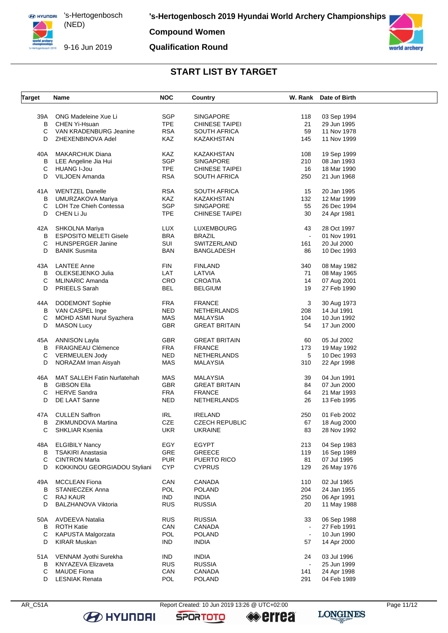

**Compound Women**

#### **Qualification Round**



## **START LIST BY TARGET**

| <b>Target</b> | Name                               | <b>NOC</b> | Country                           |                | W. Rank Date of Birth |  |
|---------------|------------------------------------|------------|-----------------------------------|----------------|-----------------------|--|
|               |                                    |            |                                   |                |                       |  |
| 39A           | ONG Madeleine Xue Li               | SGP        | <b>SINGAPORE</b>                  | 118            | 03 Sep 1994           |  |
| B             | CHEN Yi-Hsuan                      | <b>TPE</b> | <b>CHINESE TAIPEI</b>             | 21             | 29 Jun 1995           |  |
| С             | VAN KRADENBURG Jeanine             | <b>RSA</b> | <b>SOUTH AFRICA</b>               | 59             | 11 Nov 1978           |  |
| D             | ZHEXENBINOVA Adel                  | <b>KAZ</b> | KAZAKHSTAN                        | 145            | 11 Nov 1999           |  |
| 40A           | <b>MAKARCHUK Diana</b>             | KAZ        | KAZAKHSTAN                        | 108            | 19 Sep 1999           |  |
| В             | LEE Angeline Jia Hui               | <b>SGP</b> | <b>SINGAPORE</b>                  | 210            | 08 Jan 1993           |  |
| С             | <b>HUANG I-Jou</b>                 | <b>TPE</b> | <b>CHINESE TAIPEI</b>             | 16             | 18 Mar 1990           |  |
| D             | VILJOEN Amanda                     | <b>RSA</b> | <b>SOUTH AFRICA</b>               | 250            | 21 Jun 1968           |  |
| 41A           | <b>WENTZEL Danelle</b>             | <b>RSA</b> |                                   |                | 20 Jan 1995           |  |
|               |                                    |            | SOUTH AFRICA<br><b>KAZAKHSTAN</b> | 15             |                       |  |
| В             | UMURZAKOVA Mariya                  | KAZ        |                                   | 132            | 12 Mar 1999           |  |
| С             | <b>LOH Tze Chieh Contessa</b>      | <b>SGP</b> | SINGAPORE                         | 55             | 26 Dec 1994           |  |
| D             | CHEN Li Ju                         | <b>TPE</b> | <b>CHINESE TAIPEI</b>             | 30             | 24 Apr 1981           |  |
| 42A           | SHKOLNA Mariya                     | LUX        | LUXEMBOURG                        | 43             | 28 Oct 1997           |  |
| В             | <b>ESPOSITO MELETI Gisele</b>      | <b>BRA</b> | <b>BRAZIL</b>                     | $\blacksquare$ | 01 Nov 1991           |  |
| C             | <b>HUNSPERGER Janine</b>           | SUI        | SWITZERLAND                       | 161            | 20 Jul 2000           |  |
| D             | <b>BANIK Susmita</b>               | <b>BAN</b> | BANGLADESH                        | 86             | 10 Dec 1993           |  |
| 43A           | <b>LANTEE Anne</b>                 | <b>FIN</b> | <b>FINLAND</b>                    | 340            | 08 May 1982           |  |
| В             | OLEKSEJENKO Julia                  | LAT        | LATVIA                            | 71             | 08 May 1965           |  |
| С             | <b>MLINARIC Amanda</b>             | CRO        | <b>CROATIA</b>                    | 14             | 07 Aug 2001           |  |
| D             | PRIEELS Sarah                      | <b>BEL</b> | <b>BELGIUM</b>                    | 19             | 27 Feb 1990           |  |
|               |                                    |            |                                   |                |                       |  |
| 44A           | <b>DODEMONT Sophie</b>             | <b>FRA</b> | <b>FRANCE</b>                     | 3              | 30 Aug 1973           |  |
| В             | VAN CASPEL Inge                    | <b>NED</b> | NETHERLANDS                       | 208            | 14 Jul 1991           |  |
| С             | MOHD ASMI Nurul Syazhera           | <b>MAS</b> | MALAYSIA                          | 104            | 10 Jun 1992           |  |
| D             | <b>MASON Lucy</b>                  | GBR        | <b>GREAT BRITAIN</b>              | 54             | 17 Jun 2000           |  |
|               |                                    |            |                                   |                |                       |  |
| 45A           | <b>ANNISON Layla</b>               | <b>GBR</b> | <b>GREAT BRITAIN</b>              | 60             | 05 Jul 2002           |  |
| В             | FRAIGNEAU Clémence                 | <b>FRA</b> | <b>FRANCE</b>                     | 173            | 19 May 1992           |  |
| C             | <b>VERMEULEN Jody</b>              | <b>NED</b> | NETHERLANDS                       | 5              | 10 Dec 1993           |  |
| D             | NORAZAM Iman Aisyah                | <b>MAS</b> | MALAYSIA                          | 310            | 22 Apr 1998           |  |
| 46A           | <b>MAT SALLEH Fatin Nurfatehah</b> | <b>MAS</b> | <b>MALAYSIA</b>                   | 39             | 04 Jun 1991           |  |
| в             | <b>GIBSON Ella</b>                 | <b>GBR</b> | <b>GREAT BRITAIN</b>              | 84             | 07 Jun 2000           |  |
| C             | <b>HERVE Sandra</b>                | <b>FRA</b> | <b>FRANCE</b>                     | 64             | 21 Mar 1993           |  |
| D             | DE LAAT Sanne                      | NED        | <b>NETHERLANDS</b>                | 26             | 13 Feb 1995           |  |
|               |                                    |            |                                   |                |                       |  |
| 47A           | <b>CULLEN Saffron</b>              | <b>IRL</b> | <b>IRELAND</b>                    | 250            | 01 Feb 2002           |  |
| В             | ZIKMUNDOVA Martina                 | CZE        | <b>CZECH REPUBLIC</b>             | 67             | 18 Aug 2000           |  |
| С             | <b>SHKLIAR Ksenija</b>             | UKR        | UKRAINE                           | 83             | 28 Nov 1992           |  |
| 48A           | <b>ELGIBILY Nancy</b>              | EGY        | <b>EGYPT</b>                      | 213            | 04 Sep 1983           |  |
| В             | <b>TSAKIRI Anastasia</b>           | GRE        | <b>GREECE</b>                     | 119            | 16 Sep 1989           |  |
| C             | <b>CINTRON Marla</b>               | <b>PUR</b> | PUERTO RICO                       | 81             | 07 Jul 1995           |  |
| D             | KOKKINOU GEORGIADOU Styliani       | <b>CYP</b> | <b>CYPRUS</b>                     | 129            | 26 May 1976           |  |
|               |                                    |            |                                   |                |                       |  |
| 49A           | <b>MCCLEAN Fiona</b>               | CAN        | <b>CANADA</b>                     | 110            | 02 Jul 1965           |  |
| В             | STANIECZEK Anna                    | POL        | <b>POLAND</b>                     | 204            | 24 Jan 1955           |  |
| C             | <b>RAJ KAUR</b>                    | IND        | <b>INDIA</b>                      | 250            | 06 Apr 1991           |  |
| D             | BALZHANOVA Viktoria                | <b>RUS</b> | <b>RUSSIA</b>                     | 20             | 11 May 1988           |  |
| 50A           | AVDEEVA Natalia                    | <b>RUS</b> | <b>RUSSIA</b>                     | 33             | 06 Sep 1988           |  |
| В             | <b>ROTH Katie</b>                  | CAN        | <b>CANADA</b>                     |                | 27 Feb 1991           |  |
| С             | KAPUSTA Malgorzata                 | POL        | <b>POLAND</b>                     | $\blacksquare$ | 10 Jun 1990           |  |
| D             | <b>KIRAR Muskan</b>                | <b>IND</b> | <b>INDIA</b>                      | 57             | 14 Apr 2000           |  |
| 51A           | VENNAM Jyothi Surekha              | <b>IND</b> | <b>INDIA</b>                      | 24             | 03 Jul 1996           |  |
| В             | KNYAZEVA Elizaveta                 | <b>RUS</b> | <b>RUSSIA</b>                     |                | 25 Jun 1999           |  |
| С             | <b>MAUDE Fiona</b>                 | CAN        | CANADA                            | 141            |                       |  |
|               |                                    |            |                                   |                | 24 Apr 1998           |  |
| D             | <b>LESNIAK Renata</b>              | POL        | <b>POLAND</b>                     | 291            | 04 Feb 1989           |  |



**B** HYUNDAI